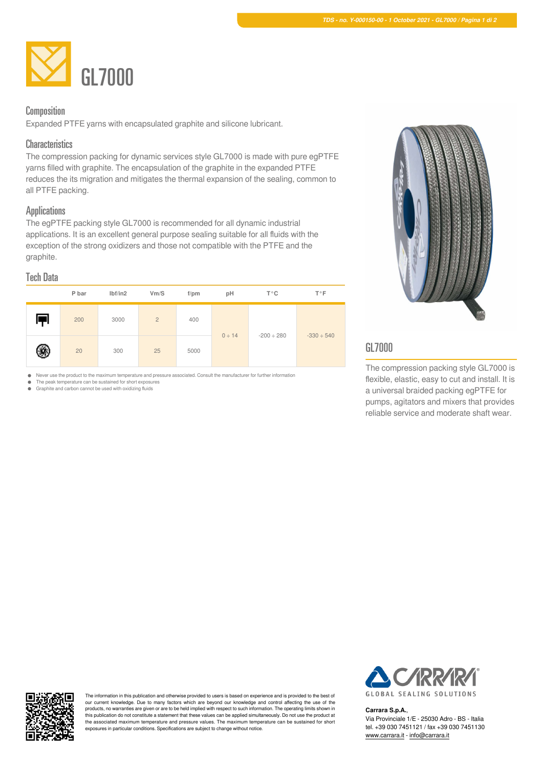

## Composition

Expanded PTFE yarns with encapsulated graphite and silicone lubricant.

### **Characteristics**

The compression packing for dynamic services style GL7000 is made with pure egPTFE yarns filled with graphite. The encapsulation of the graphite in the expanded PTFE reduces the its migration and mitigates the thermal expansion of the sealing, common to all PTFE packing.

### **Applications**

The egPTFE packing style GL7000 is recommended for all dynamic industrial applications. It is an excellent general purpose sealing suitable for all fluids with the exception of the strong oxidizers and those not compatible with the PTFE and the graphite.

#### Tech Data





# GL7000

The compression packing style GL7000 is flexible, elastic, easy to cut and install. It is a universal braided packing egPTFE for pumps, agitators and mixers that provides reliable service and moderate shaft wear.

 $\bullet$ Never use the product to the maximum temperature and pressure associated. Consult the manufacturer for further information The peak temperature can be sustained for short exposures

Graphite and carbon cannot be used with oxidizing fluids

The information in this publication and otherwise provided to users is based on experience and is provided to the best of our current knowledge. Due to many factors which are beyond our knowledge and control affecting the use of the products, no warranties are given or are to be held implied with respect to such information. The operating limits shown in this publication do not constitute a statement that these values can be applied simultaneously. Do not use the product at<br>the associated maximum temperature and pressure values. The maximum temperature can be sustained for exposures in particular conditions. Specifications are subject to change without notice.



#### **Carrara S.p.A.**,

Via Provinciale 1/E - 25030 Adro - BS - Italia tel. +39 030 7451121 / fax +39 030 7451130 [www.carrara.it](https://www.carrara.it) - [info@carrara.it](mailto:info@carrara.it)